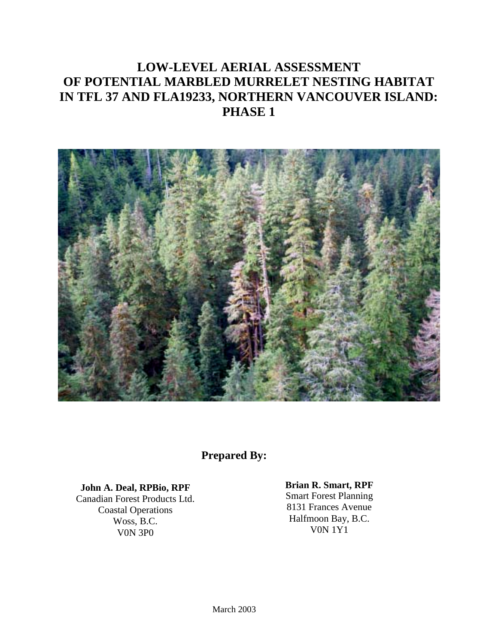# **LOW-LEVEL AERIAL ASSESSMENT OF POTENTIAL MARBLED MURRELET NESTING HABITAT IN TFL 37 AND FLA19233, NORTHERN VANCOUVER ISLAND: PHASE 1**



**Prepared By:** 

#### **John A. Deal, RPBio, RPF**

Canadian Forest Products Ltd. Coastal Operations Woss, B.C. V0N 3P0

**Brian R. Smart, RPF**  Smart Forest Planning 8131 Frances Avenue Halfmoon Bay, B.C. V0N 1Y1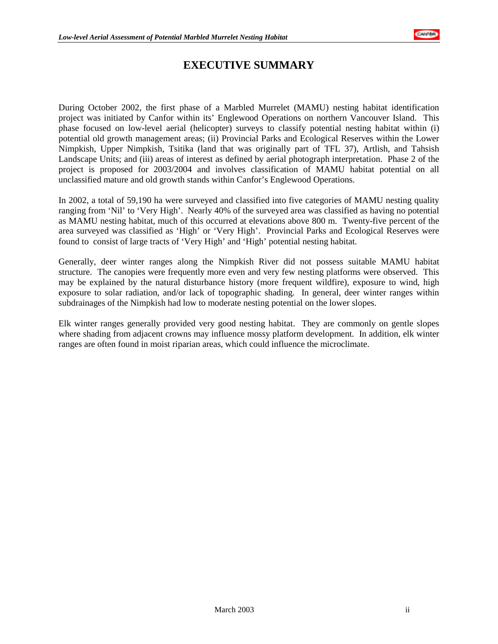

## **EXECUTIVE SUMMARY**

During October 2002, the first phase of a Marbled Murrelet (MAMU) nesting habitat identification project was initiated by Canfor within its' Englewood Operations on northern Vancouver Island. This phase focused on low-level aerial (helicopter) surveys to classify potential nesting habitat within (i) potential old growth management areas; (ii) Provincial Parks and Ecological Reserves within the Lower Nimpkish, Upper Nimpkish, Tsitika (land that was originally part of TFL 37), Artlish, and Tahsish Landscape Units; and (iii) areas of interest as defined by aerial photograph interpretation. Phase 2 of the project is proposed for 2003/2004 and involves classification of MAMU habitat potential on all unclassified mature and old growth stands within Canfor's Englewood Operations.

In 2002, a total of 59,190 ha were surveyed and classified into five categories of MAMU nesting quality ranging from 'Nil' to 'Very High'. Nearly 40% of the surveyed area was classified as having no potential as MAMU nesting habitat, much of this occurred at elevations above 800 m. Twenty-five percent of the area surveyed was classified as 'High' or 'Very High'. Provincial Parks and Ecological Reserves were found to consist of large tracts of 'Very High' and 'High' potential nesting habitat.

Generally, deer winter ranges along the Nimpkish River did not possess suitable MAMU habitat structure. The canopies were frequently more even and very few nesting platforms were observed. This may be explained by the natural disturbance history (more frequent wildfire), exposure to wind, high exposure to solar radiation, and/or lack of topographic shading. In general, deer winter ranges within subdrainages of the Nimpkish had low to moderate nesting potential on the lower slopes.

Elk winter ranges generally provided very good nesting habitat. They are commonly on gentle slopes where shading from adjacent crowns may influence mossy platform development. In addition, elk winter ranges are often found in moist riparian areas, which could influence the microclimate.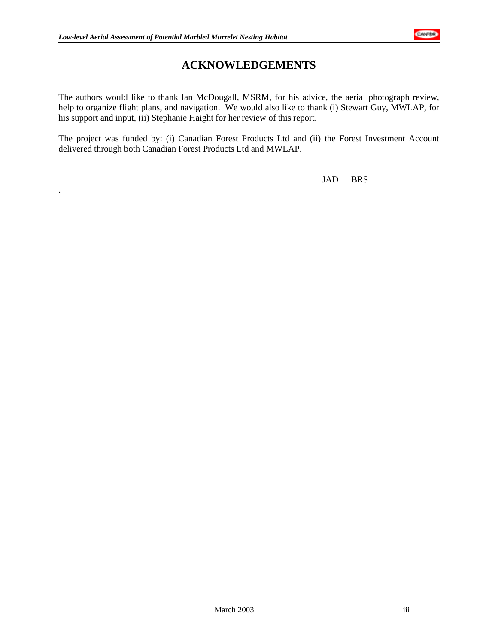.



## **ACKNOWLEDGEMENTS**

The authors would like to thank Ian McDougall, MSRM, for his advice, the aerial photograph review, help to organize flight plans, and navigation. We would also like to thank (i) Stewart Guy, MWLAP, for his support and input, (ii) Stephanie Haight for her review of this report.

The project was funded by: (i) Canadian Forest Products Ltd and (ii) the Forest Investment Account delivered through both Canadian Forest Products Ltd and MWLAP.

JAD BRS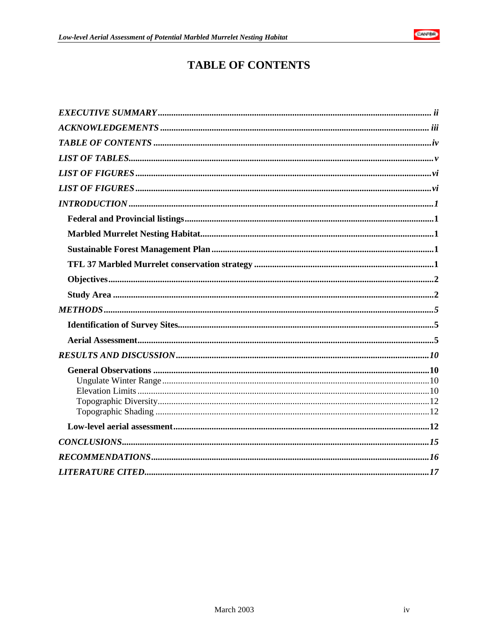

# **TABLE OF CONTENTS**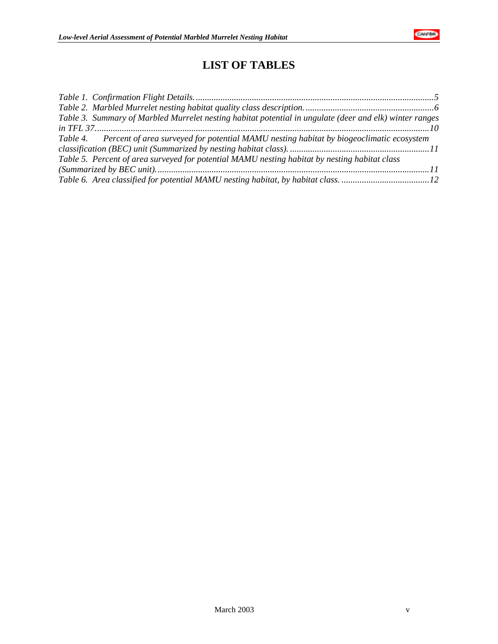

# **LIST OF TABLES**

| Table 3. Summary of Marbled Murrelet nesting habitat potential in ungulate (deer and elk) winter ranges |  |
|---------------------------------------------------------------------------------------------------------|--|
|                                                                                                         |  |
| Table 4. Percent of area surveyed for potential MAMU nesting habitat by biogeoclimatic ecosystem        |  |
|                                                                                                         |  |
| Table 5. Percent of area surveyed for potential MAMU nesting habitat by nesting habitat class           |  |
|                                                                                                         |  |
|                                                                                                         |  |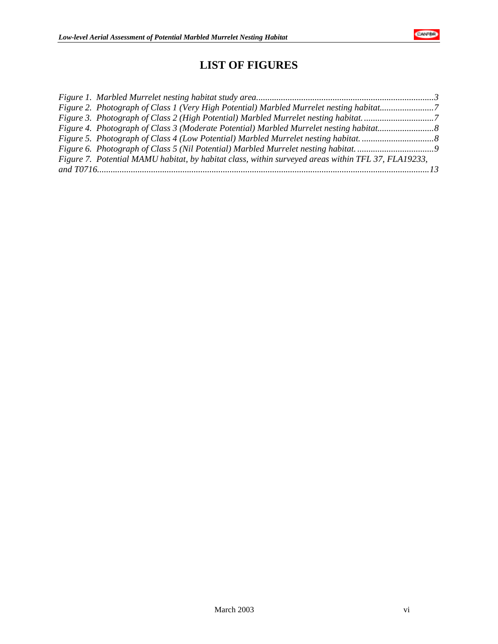

# **LIST OF FIGURES**

| Figure 7. Potential MAMU habitat, by habitat class, within surveyed areas within TFL 37, FLA19233, |  |
|----------------------------------------------------------------------------------------------------|--|
|                                                                                                    |  |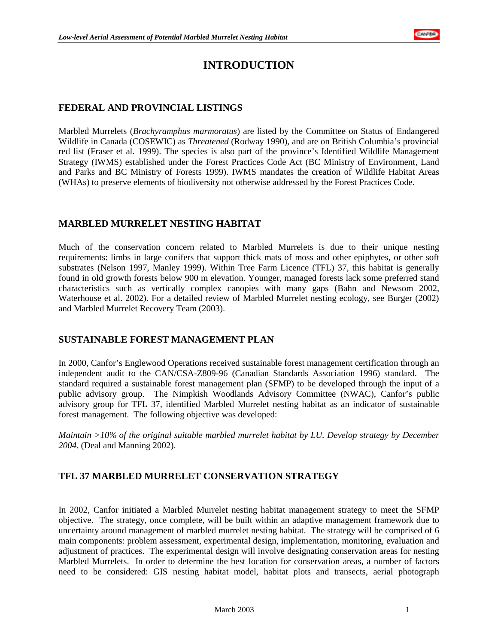

# **INTRODUCTION**

### **FEDERAL AND PROVINCIAL LISTINGS**

Marbled Murrelets (*Brachyramphus marmoratus*) are listed by the Committee on Status of Endangered Wildlife in Canada (COSEWIC) as *Threatened* (Rodway 1990), and are on British Columbia's provincial red list (Fraser et al. 1999). The species is also part of the province's Identified Wildlife Management Strategy (IWMS) established under the Forest Practices Code Act (BC Ministry of Environment, Land and Parks and BC Ministry of Forests 1999). IWMS mandates the creation of Wildlife Habitat Areas (WHAs) to preserve elements of biodiversity not otherwise addressed by the Forest Practices Code.

### **MARBLED MURRELET NESTING HABITAT**

Much of the conservation concern related to Marbled Murrelets is due to their unique nesting requirements: limbs in large conifers that support thick mats of moss and other epiphytes, or other soft substrates (Nelson 1997, Manley 1999). Within Tree Farm Licence (TFL) 37, this habitat is generally found in old growth forests below 900 m elevation. Younger, managed forests lack some preferred stand characteristics such as vertically complex canopies with many gaps (Bahn and Newsom 2002, Waterhouse et al. 2002). For a detailed review of Marbled Murrelet nesting ecology, see Burger (2002) and Marbled Murrelet Recovery Team (2003).

### **SUSTAINABLE FOREST MANAGEMENT PLAN**

In 2000, Canfor's Englewood Operations received sustainable forest management certification through an independent audit to the CAN/CSA-Z809-96 (Canadian Standards Association 1996) standard. The standard required a sustainable forest management plan (SFMP) to be developed through the input of a public advisory group. The Nimpkish Woodlands Advisory Committee (NWAC), Canfor's public advisory group for TFL 37, identified Marbled Murrelet nesting habitat as an indicator of sustainable forest management. The following objective was developed:

*Maintain >10% of the original suitable marbled murrelet habitat by LU. Develop strategy by December 2004*. (Deal and Manning 2002).

### **TFL 37 MARBLED MURRELET CONSERVATION STRATEGY**

In 2002, Canfor initiated a Marbled Murrelet nesting habitat management strategy to meet the SFMP objective. The strategy, once complete, will be built within an adaptive management framework due to uncertainty around management of marbled murrelet nesting habitat. The strategy will be comprised of 6 main components: problem assessment, experimental design, implementation, monitoring, evaluation and adjustment of practices. The experimental design will involve designating conservation areas for nesting Marbled Murrelets. In order to determine the best location for conservation areas, a number of factors need to be considered: GIS nesting habitat model, habitat plots and transects, aerial photograph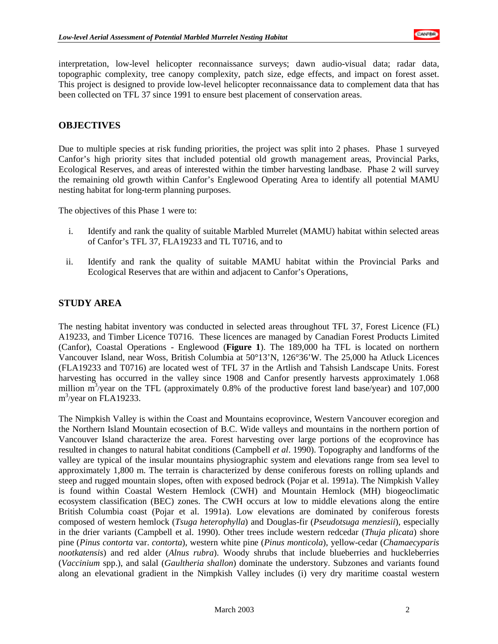interpretation, low-level helicopter reconnaissance surveys; dawn audio-visual data; radar data, topographic complexity, tree canopy complexity, patch size, edge effects, and impact on forest asset. This project is designed to provide low-level helicopter reconnaissance data to complement data that has been collected on TFL 37 since 1991 to ensure best placement of conservation areas.

#### **OBJECTIVES**

Due to multiple species at risk funding priorities, the project was split into 2 phases. Phase 1 surveyed Canfor's high priority sites that included potential old growth management areas, Provincial Parks, Ecological Reserves, and areas of interested within the timber harvesting landbase. Phase 2 will survey the remaining old growth within Canfor's Englewood Operating Area to identify all potential MAMU nesting habitat for long-term planning purposes.

The objectives of this Phase 1 were to:

- i. Identify and rank the quality of suitable Marbled Murrelet (MAMU) habitat within selected areas of Canfor's TFL 37, FLA19233 and TL T0716, and to
- ii. Identify and rank the quality of suitable MAMU habitat within the Provincial Parks and Ecological Reserves that are within and adjacent to Canfor's Operations,

#### **STUDY AREA**

The nesting habitat inventory was conducted in selected areas throughout TFL 37, Forest Licence (FL) A19233, and Timber Licence T0716. These licences are managed by Canadian Forest Products Limited (Canfor), Coastal Operations - Englewood (**Figure 1**). The 189,000 ha TFL is located on northern Vancouver Island, near Woss, British Columbia at 50°13'N, 126°36'W. The 25,000 ha Atluck Licences (FLA19233 and T0716) are located west of TFL 37 in the Artlish and Tahsish Landscape Units. Forest harvesting has occurred in the valley since 1908 and Canfor presently harvests approximately 1.068 million m<sup>3</sup>/year on the TFL (approximately 0.8% of the productive forest land base/year) and 107,000 m<sup>3</sup>/year on FLA19233.

The Nimpkish Valley is within the Coast and Mountains ecoprovince, Western Vancouver ecoregion and the Northern Island Mountain ecosection of B.C. Wide valleys and mountains in the northern portion of Vancouver Island characterize the area. Forest harvesting over large portions of the ecoprovince has resulted in changes to natural habitat conditions (Campbell *et al*. 1990). Topography and landforms of the valley are typical of the insular mountains physiographic system and elevations range from sea level to approximately 1,800 m. The terrain is characterized by dense coniferous forests on rolling uplands and steep and rugged mountain slopes, often with exposed bedrock (Pojar et al. 1991a). The Nimpkish Valley is found within Coastal Western Hemlock (CWH) and Mountain Hemlock (MH) biogeoclimatic ecosystem classification (BEC) zones. The CWH occurs at low to middle elevations along the entire British Columbia coast (Pojar et al. 1991a). Low elevations are dominated by coniferous forests composed of western hemlock (*Tsuga heterophylla*) and Douglas-fir (*Pseudotsuga menziesii*), especially in the drier variants (Campbell et al. 1990). Other trees include western redcedar (*Thuja plicata*) shore pine (*Pinus contorta* var. *contorta*), western white pine (*Pinus monticola*), yellow-cedar (*Chamaecyparis nootkatensis*) and red alder (*Alnus rubra*). Woody shrubs that include blueberries and huckleberries (*Vaccinium* spp.), and salal (*Gaultheria shallon*) dominate the understory. Subzones and variants found along an elevational gradient in the Nimpkish Valley includes (i) very dry maritime coastal western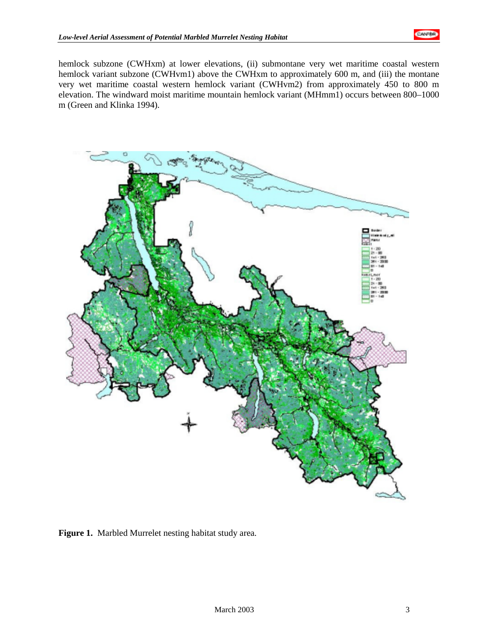

hemlock subzone (CWHxm) at lower elevations, (ii) submontane very wet maritime coastal western hemlock variant subzone (CWHvm1) above the CWHxm to approximately 600 m, and (iii) the montane very wet maritime coastal western hemlock variant (CWHvm2) from approximately 450 to 800 m elevation. The windward moist maritime mountain hemlock variant (MHmm1) occurs between 800–1000 m (Green and Klinka 1994).



**Figure 1.** Marbled Murrelet nesting habitat study area.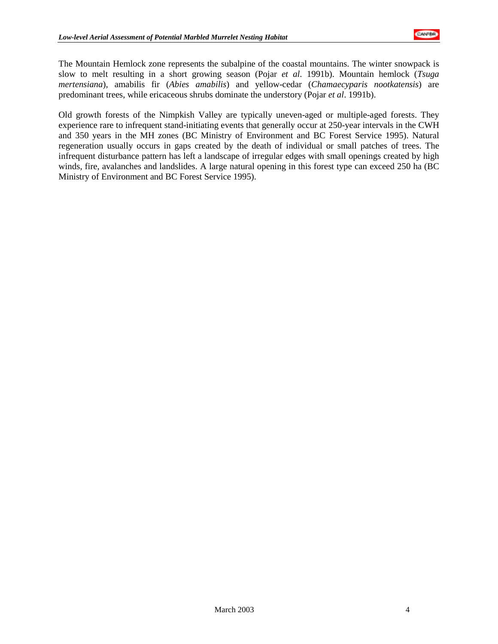

The Mountain Hemlock zone represents the subalpine of the coastal mountains. The winter snowpack is slow to melt resulting in a short growing season (Pojar *et al*. 1991b). Mountain hemlock (*Tsuga mertensiana*), amabilis fir (*Abies amabilis*) and yellow-cedar (*Chamaecyparis nootkatensis*) are predominant trees, while ericaceous shrubs dominate the understory (Pojar *et al*. 1991b).

Old growth forests of the Nimpkish Valley are typically uneven-aged or multiple-aged forests. They experience rare to infrequent stand-initiating events that generally occur at 250-year intervals in the CWH and 350 years in the MH zones (BC Ministry of Environment and BC Forest Service 1995). Natural regeneration usually occurs in gaps created by the death of individual or small patches of trees. The infrequent disturbance pattern has left a landscape of irregular edges with small openings created by high winds, fire, avalanches and landslides. A large natural opening in this forest type can exceed 250 ha (BC Ministry of Environment and BC Forest Service 1995).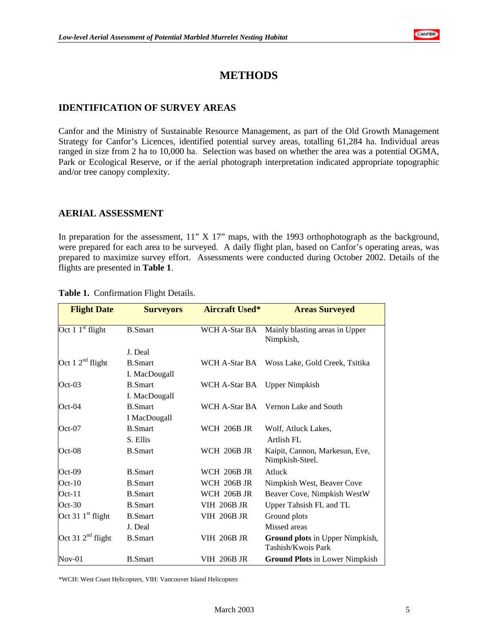

# **METHODS**

### **IDENTIFICATION OF SURVEY AREAS**

Canfor and the Ministry of Sustainable Resource Management, as part of the Old Growth Management Strategy for Canfor's Licences, identified potential survey areas, totalling 61,284 ha. Individual areas ranged in size from 2 ha to 10,000 ha. Selection was based on whether the area was a potential OGMA, Park or Ecological Reserve, or if the aerial photograph interpretation indicated appropriate topographic and/or tree canopy complexity.

#### **AERIAL ASSESSMENT**

In preparation for the assessment, 11" X 17" maps, with the 1993 orthophotograph as the background, were prepared for each area to be surveyed. A daily flight plan, based on Canfor's operating areas, was prepared to maximize survey effort. Assessments were conducted during October 2002. Details of the flights are presented in **Table 1**.

| <b>Flight Date</b>              | <b>Surveyors</b>    | <b>Aircraft Used*</b>        | <b>Areas Surveyed</b>                                        |
|---------------------------------|---------------------|------------------------------|--------------------------------------------------------------|
| Oct $1 \, 1^{\text{st}}$ flight | <b>B.Smart</b>      | WCH A-Star BA                | Mainly blasting areas in Upper<br>Nimpkish,                  |
|                                 | J. Deal             |                              |                                                              |
| Oct $12^{nd}$ flight            | <b>B.Smart</b>      |                              | WCH A-Star BA Woss Lake, Gold Creek, Tsitika                 |
|                                 | I. MacDougall       |                              |                                                              |
| Oct-03                          | <b>B.Smart</b>      | WCH A-Star BA Upper Nimpkish |                                                              |
|                                 | I. MacDougall       |                              |                                                              |
| $Oct-04$                        | <b>B.Smart</b>      |                              | WCH A-Star BA Vernon Lake and South                          |
|                                 | <b>I</b> MacDougall |                              |                                                              |
| $Oct-07$                        | <b>B.Smart</b>      | <b>WCH 206B JR</b>           | Wolf, Atluck Lakes,                                          |
|                                 | S. Ellis            |                              | Artlish FL                                                   |
| Oct-08                          | <b>B.Smart</b>      | <b>WCH 206B JR</b>           | Kaipit, Cannon, Markesun, Eve,<br>Nimpkish-Steel.            |
| $Oct-09$                        | <b>B.Smart</b>      | <b>WCH 206B JR</b>           | Atluck                                                       |
| $Oct-10$                        | <b>B.Smart</b>      | <b>WCH 206B JR</b>           | Nimpkish West, Beaver Cove                                   |
| $Oct-11$                        | <b>B.Smart</b>      | <b>WCH 206B JR</b>           | Beaver Cove, Nimpkish WestW                                  |
| $Oct-30$                        | <b>B.Smart</b>      | <b>VIH 206B JR</b>           | Upper Tahsish FL and TL                                      |
| Oct 31 $1st$ flight             | <b>B.Smart</b>      | <b>VIH 206B JR</b>           | Ground plots                                                 |
|                                 | J. Deal             |                              | Missed areas                                                 |
| Oct 31 $2nd$ flight             | <b>B.Smart</b>      | <b>VIH 206B JR</b>           | <b>Ground plots</b> in Upper Nimpkish,<br>Tashish/Kwois Park |
| $Nov-01$                        | <b>B.Smart</b>      | <b>VIH 206B JR</b>           | <b>Ground Plots</b> in Lower Nimpkish                        |

**Table 1.** Confirmation Flight Details.

\*WCH: West Coast Helicopters, VIH: Vancouver Island Helicopters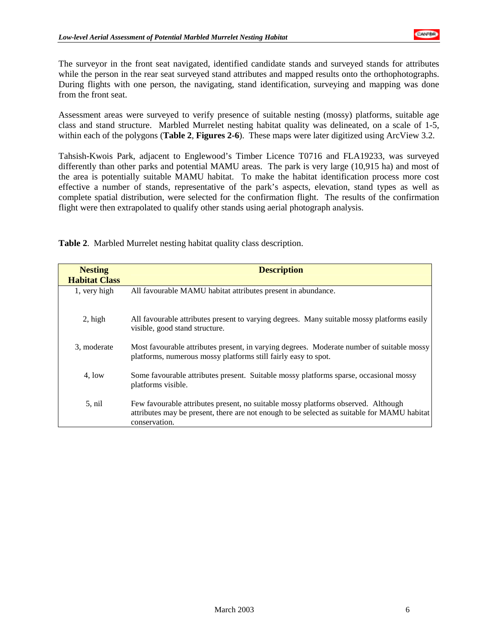

The surveyor in the front seat navigated, identified candidate stands and surveyed stands for attributes while the person in the rear seat surveyed stand attributes and mapped results onto the orthophotographs. During flights with one person, the navigating, stand identification, surveying and mapping was done from the front seat.

Assessment areas were surveyed to verify presence of suitable nesting (mossy) platforms, suitable age class and stand structure. Marbled Murrelet nesting habitat quality was delineated, on a scale of 1-5, within each of the polygons (**Table 2**, **Figures 2-6**). These maps were later digitized using ArcView 3.2.

Tahsish-Kwois Park, adjacent to Englewood's Timber Licence T0716 and FLA19233, was surveyed differently than other parks and potential MAMU areas. The park is very large (10,915 ha) and most of the area is potentially suitable MAMU habitat. To make the habitat identification process more cost effective a number of stands, representative of the park's aspects, elevation, stand types as well as complete spatial distribution, were selected for the confirmation flight. The results of the confirmation flight were then extrapolated to qualify other stands using aerial photograph analysis.

| <b>Nesting</b><br><b>Habitat Class</b> | <b>Description</b>                                                                                                                                                                                |
|----------------------------------------|---------------------------------------------------------------------------------------------------------------------------------------------------------------------------------------------------|
| 1, very high                           | All favourable MAMU habitat attributes present in abundance.                                                                                                                                      |
| 2, high                                | All favourable attributes present to varying degrees. Many suitable mossy platforms easily<br>visible, good stand structure.                                                                      |
| 3, moderate                            | Most favourable attributes present, in varying degrees. Moderate number of suitable mossy<br>platforms, numerous mossy platforms still fairly easy to spot.                                       |
| 4, low                                 | Some favourable attributes present. Suitable mossy platforms sparse, occasional mossy<br>platforms visible.                                                                                       |
| $5$ , nil                              | Few favourable attributes present, no suitable mossy platforms observed. Although<br>attributes may be present, there are not enough to be selected as suitable for MAMU habitat<br>conservation. |

**Table 2**. Marbled Murrelet nesting habitat quality class description.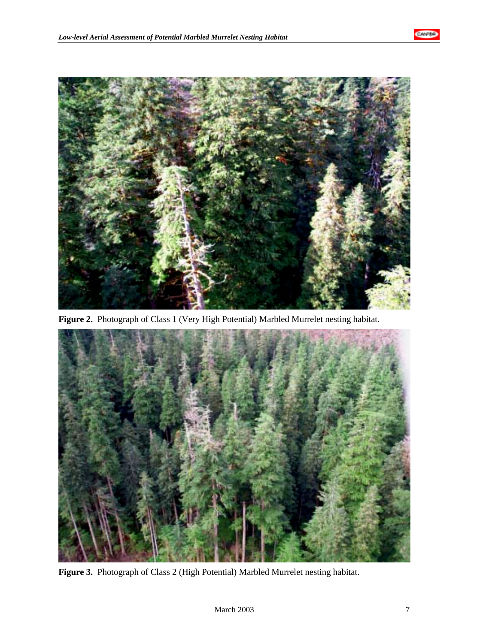



**Figure 2.** Photograph of Class 1 (Very High Potential) Marbled Murrelet nesting habitat.



**Figure 3.** Photograph of Class 2 (High Potential) Marbled Murrelet nesting habitat.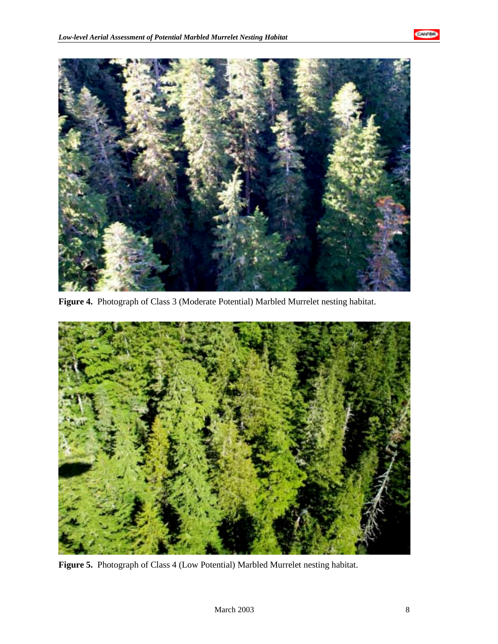



**Figure 4.** Photograph of Class 3 (Moderate Potential) Marbled Murrelet nesting habitat.



**Figure 5.** Photograph of Class 4 (Low Potential) Marbled Murrelet nesting habitat.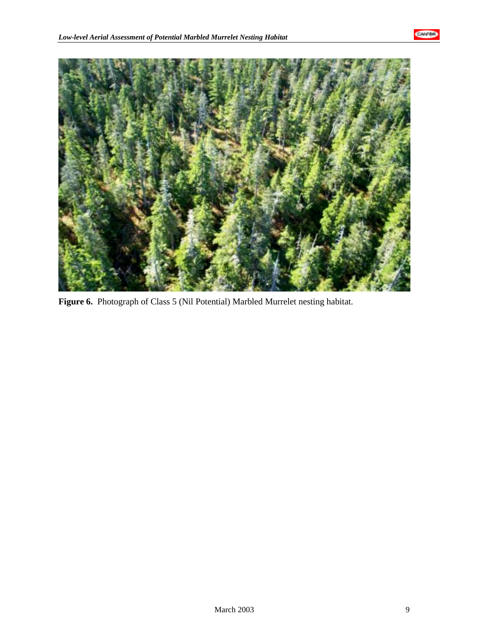



**Figure 6.** Photograph of Class 5 (Nil Potential) Marbled Murrelet nesting habitat.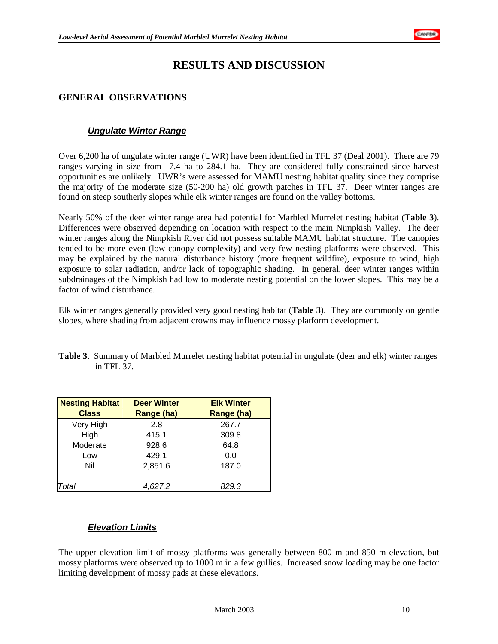

# **RESULTS AND DISCUSSION**

### **GENERAL OBSERVATIONS**

#### *Ungulate Winter Range*

Over 6,200 ha of ungulate winter range (UWR) have been identified in TFL 37 (Deal 2001). There are 79 ranges varying in size from 17.4 ha to 284.1 ha. They are considered fully constrained since harvest opportunities are unlikely. UWR's were assessed for MAMU nesting habitat quality since they comprise the majority of the moderate size (50-200 ha) old growth patches in TFL 37. Deer winter ranges are found on steep southerly slopes while elk winter ranges are found on the valley bottoms.

Nearly 50% of the deer winter range area had potential for Marbled Murrelet nesting habitat (**Table 3**). Differences were observed depending on location with respect to the main Nimpkish Valley. The deer winter ranges along the Nimpkish River did not possess suitable MAMU habitat structure. The canopies tended to be more even (low canopy complexity) and very few nesting platforms were observed. This may be explained by the natural disturbance history (more frequent wildfire), exposure to wind, high exposure to solar radiation, and/or lack of topographic shading. In general, deer winter ranges within subdrainages of the Nimpkish had low to moderate nesting potential on the lower slopes. This may be a factor of wind disturbance.

Elk winter ranges generally provided very good nesting habitat (**Table 3**). They are commonly on gentle slopes, where shading from adjacent crowns may influence mossy platform development.

**Table 3.** Summary of Marbled Murrelet nesting habitat potential in ungulate (deer and elk) winter ranges in TFL 37.

| <b>Nesting Habitat</b> | <b>Deer Winter</b> | <b>Elk Winter</b> |
|------------------------|--------------------|-------------------|
| <b>Class</b>           | Range (ha)         | Range (ha)        |
| Very High              | 2.8                | 267.7             |
| High                   | 415.1              | 309.8             |
| Moderate               | 928.6              | 64.8              |
| Low                    | 429.1              | 0.0               |
| Nil                    | 2,851.6            | 187.0             |
|                        |                    |                   |
| otal                   | 4.627.2            | 829.3             |

### *Elevation Limits*

The upper elevation limit of mossy platforms was generally between 800 m and 850 m elevation, but mossy platforms were observed up to 1000 m in a few gullies. Increased snow loading may be one factor limiting development of mossy pads at these elevations.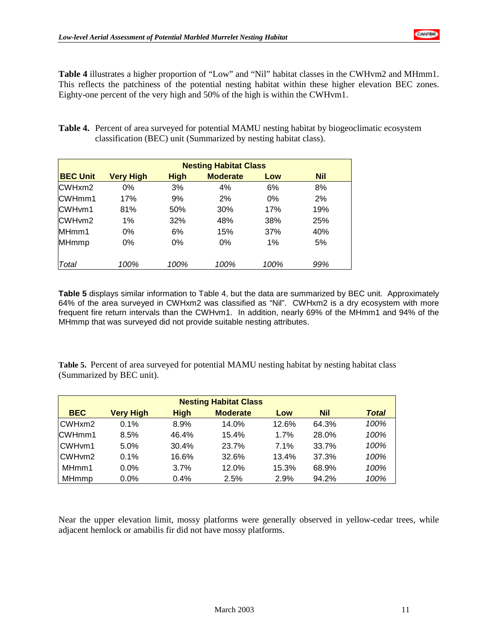

**Table 4** illustrates a higher proportion of "Low" and "Nil" habitat classes in the CWHvm2 and MHmm1. This reflects the patchiness of the potential nesting habitat within these higher elevation BEC zones. Eighty-one percent of the very high and 50% of the high is within the CWHvm1.

**Table 4.** Percent of area surveyed for potential MAMU nesting habitat by biogeoclimatic ecosystem classification (BEC) unit (Summarized by nesting habitat class).

|                    | <b>Nesting Habitat Class</b> |             |                 |      |            |
|--------------------|------------------------------|-------------|-----------------|------|------------|
| <b>BEC Unit</b>    | <b>Very High</b>             | <b>High</b> | <b>Moderate</b> | Low  | <b>Nil</b> |
| CWHxm2             | 0%                           | 3%          | 4%              | 6%   | 8%         |
| CWHmm1             | 17%                          | 9%          | 2%              | 0%   | 2%         |
| CWH <sub>vm1</sub> | 81%                          | 50%         | 30%             | 17%  | 19%        |
| CWH <sub>vm2</sub> | 1%                           | 32%         | 48%             | 38%  | 25%        |
| MHmm1              | 0%                           | 6%          | 15%             | 37%  | 40%        |
| <b>MHmmp</b>       | 0%                           | 0%          | $0\%$           | 1%   | 5%         |
| Total              | 100%                         | 100%        | 100%            | 100% | 99%        |

**Table 5** displays similar information to Table 4, but the data are summarized by BEC unit. Approximately 64% of the area surveyed in CWHxm2 was classified as "Nil". CWHxm2 is a dry ecosystem with more frequent fire return intervals than the CWHvm1. In addition, nearly 69% of the MHmm1 and 94% of the MHmmp that was surveyed did not provide suitable nesting attributes.

**Table 5.** Percent of area surveyed for potential MAMU nesting habitat by nesting habitat class (Summarized by BEC unit).

|                    | <b>Nesting Habitat Class</b> |             |                 |       |       |              |
|--------------------|------------------------------|-------------|-----------------|-------|-------|--------------|
| <b>BEC</b>         | <b>Very High</b>             | <b>High</b> | <b>Moderate</b> | Low   | Nil   | <b>Total</b> |
| CWHxm2             | 0.1%                         | 8.9%        | 14.0%           | 12.6% | 64.3% | 100%         |
| CWHmm1             | 8.5%                         | 46.4%       | 15.4%           | 1.7%  | 28.0% | 100%         |
| CWH <sub>vm1</sub> | 5.0%                         | 30.4%       | 23.7%           | 7.1%  | 33.7% | 100%         |
| CWH <sub>vm2</sub> | 0.1%                         | 16.6%       | 32.6%           | 13.4% | 37.3% | 100%         |
| MHmm1              | 0.0%                         | 3.7%        | 12.0%           | 15.3% | 68.9% | 100%         |
| <b>MHmmp</b>       | $0.0\%$                      | 0.4%        | 2.5%            | 2.9%  | 94.2% | 100%         |

Near the upper elevation limit, mossy platforms were generally observed in yellow-cedar trees, while adjacent hemlock or amabilis fir did not have mossy platforms.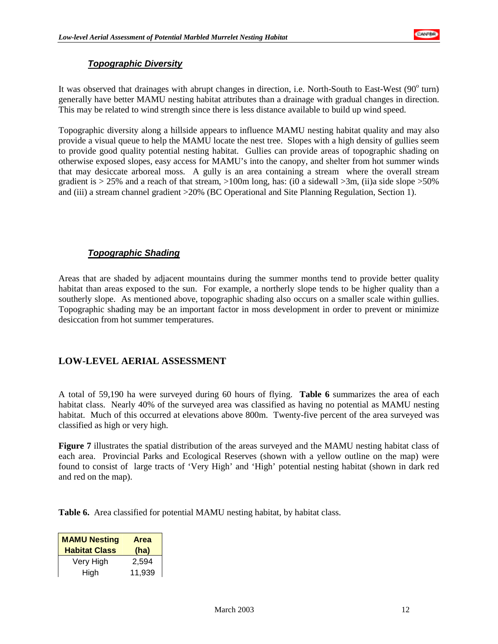

#### *Topographic Diversity*

It was observed that drainages with abrupt changes in direction, i.e. North-South to East-West (90<sup>°</sup> turn) generally have better MAMU nesting habitat attributes than a drainage with gradual changes in direction. This may be related to wind strength since there is less distance available to build up wind speed.

Topographic diversity along a hillside appears to influence MAMU nesting habitat quality and may also provide a visual queue to help the MAMU locate the nest tree. Slopes with a high density of gullies seem to provide good quality potential nesting habitat. Gullies can provide areas of topographic shading on otherwise exposed slopes, easy access for MAMU's into the canopy, and shelter from hot summer winds that may desiccate arboreal moss. A gully is an area containing a stream where the overall stream gradient is  $> 25\%$  and a reach of that stream,  $>100$ m long, has: (i0 a sidewall  $>3$ m, (ii)a side slope  $>50\%$ and (iii) a stream channel gradient >20% (BC Operational and Site Planning Regulation, Section 1).

#### *Topographic Shading*

Areas that are shaded by adjacent mountains during the summer months tend to provide better quality habitat than areas exposed to the sun. For example, a northerly slope tends to be higher quality than a southerly slope. As mentioned above, topographic shading also occurs on a smaller scale within gullies. Topographic shading may be an important factor in moss development in order to prevent or minimize desiccation from hot summer temperatures.

#### **LOW-LEVEL AERIAL ASSESSMENT**

A total of 59,190 ha were surveyed during 60 hours of flying. **Table 6** summarizes the area of each habitat class. Nearly 40% of the surveyed area was classified as having no potential as MAMU nesting habitat. Much of this occurred at elevations above 800m. Twenty-five percent of the area surveyed was classified as high or very high.

**Figure 7** illustrates the spatial distribution of the areas surveyed and the MAMU nesting habitat class of each area. Provincial Parks and Ecological Reserves (shown with a yellow outline on the map) were found to consist of large tracts of 'Very High' and 'High' potential nesting habitat (shown in dark red and red on the map).

**Table 6.** Area classified for potential MAMU nesting habitat, by habitat class.

| <b>MAMU Nesting</b>  | Area   |
|----------------------|--------|
| <b>Habitat Class</b> | (ha)   |
| Very High            | 2,594  |
| High                 | 11,939 |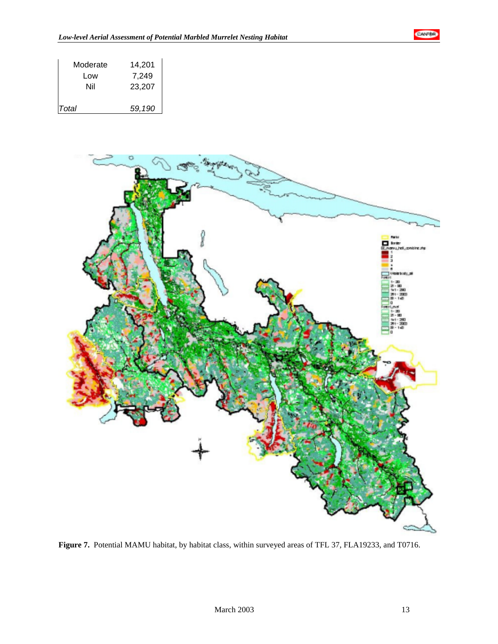

| Moderate | 14,201 |
|----------|--------|
| Low      | 7,249  |
| Nil      | 23,207 |
|          |        |
| Total    | 59.190 |



**Figure 7.** Potential MAMU habitat, by habitat class, within surveyed areas of TFL 37, FLA19233, and T0716.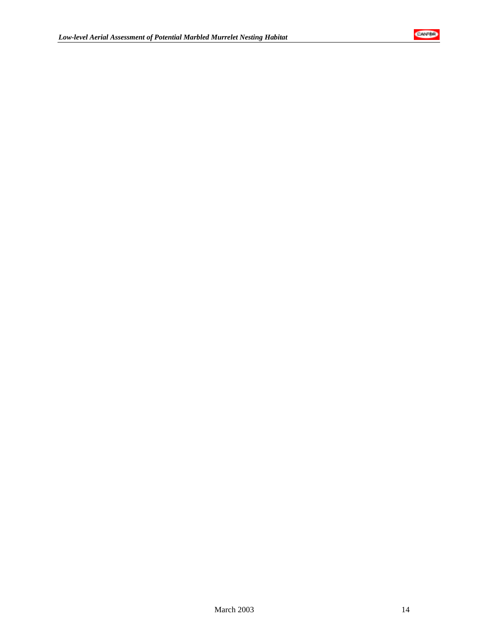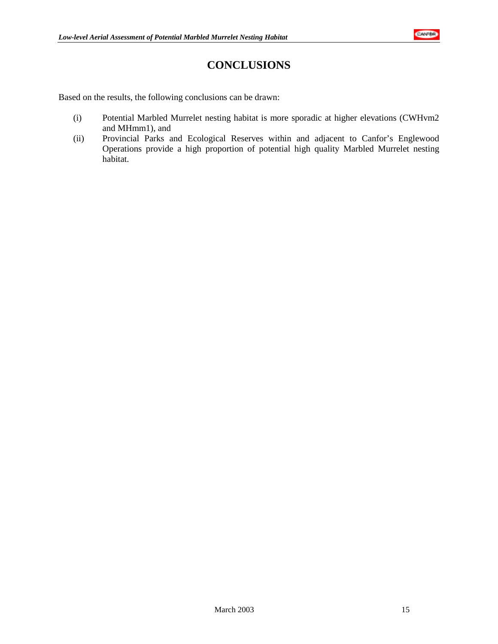

# **CONCLUSIONS**

Based on the results, the following conclusions can be drawn:

- (i) Potential Marbled Murrelet nesting habitat is more sporadic at higher elevations (CWHvm2 and MHmm1), and
- (ii) Provincial Parks and Ecological Reserves within and adjacent to Canfor's Englewood Operations provide a high proportion of potential high quality Marbled Murrelet nesting habitat.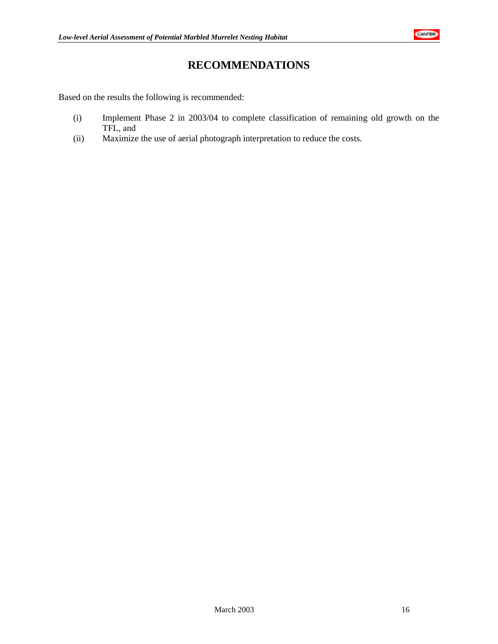

# **RECOMMENDATIONS**

Based on the results the following is recommended:

- (i) Implement Phase 2 in 2003/04 to complete classification of remaining old growth on the TFL, and
- (ii) Maximize the use of aerial photograph interpretation to reduce the costs.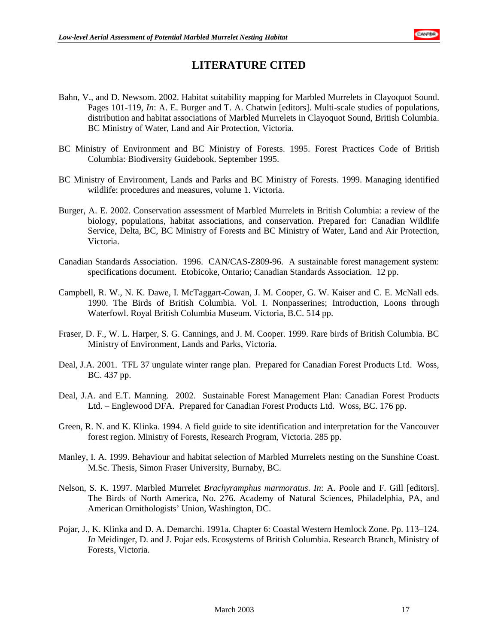

### **LITERATURE CITED**

- Bahn, V., and D. Newsom. 2002. Habitat suitability mapping for Marbled Murrelets in Clayoquot Sound. Pages 101-119, *In*: A. E. Burger and T. A. Chatwin [editors]. Multi-scale studies of populations, distribution and habitat associations of Marbled Murrelets in Clayoquot Sound, British Columbia. BC Ministry of Water, Land and Air Protection, Victoria.
- BC Ministry of Environment and BC Ministry of Forests. 1995. Forest Practices Code of British Columbia: Biodiversity Guidebook. September 1995.
- BC Ministry of Environment, Lands and Parks and BC Ministry of Forests. 1999. Managing identified wildlife: procedures and measures, volume 1. Victoria.
- Burger, A. E. 2002. Conservation assessment of Marbled Murrelets in British Columbia: a review of the biology, populations, habitat associations, and conservation. Prepared for: Canadian Wildlife Service, Delta, BC, BC Ministry of Forests and BC Ministry of Water, Land and Air Protection, Victoria.
- Canadian Standards Association. 1996. CAN/CAS-Z809-96. A sustainable forest management system: specifications document. Etobicoke, Ontario; Canadian Standards Association. 12 pp.
- Campbell, R. W., N. K. Dawe, I. McTaggart-Cowan, J. M. Cooper, G. W. Kaiser and C. E. McNall eds. 1990. The Birds of British Columbia. Vol. I. Nonpasserines; Introduction, Loons through Waterfowl. Royal British Columbia Museum. Victoria, B.C. 514 pp.
- Fraser, D. F., W. L. Harper, S. G. Cannings, and J. M. Cooper. 1999. Rare birds of British Columbia. BC Ministry of Environment, Lands and Parks, Victoria.
- Deal, J.A. 2001. TFL 37 ungulate winter range plan. Prepared for Canadian Forest Products Ltd. Woss, BC. 437 pp.
- Deal, J.A. and E.T. Manning. 2002. Sustainable Forest Management Plan: Canadian Forest Products Ltd. – Englewood DFA. Prepared for Canadian Forest Products Ltd. Woss, BC. 176 pp.
- Green, R. N. and K. Klinka. 1994. A field guide to site identification and interpretation for the Vancouver forest region. Ministry of Forests, Research Program, Victoria. 285 pp.
- Manley, I. A. 1999. Behaviour and habitat selection of Marbled Murrelets nesting on the Sunshine Coast. M.Sc. Thesis, Simon Fraser University, Burnaby, BC.
- Nelson, S. K. 1997. Marbled Murrelet *Brachyramphus marmoratus*. *In*: A. Poole and F. Gill [editors]. The Birds of North America, No. 276. Academy of Natural Sciences, Philadelphia, PA, and American Ornithologists' Union, Washington, DC.
- Pojar, J., K. Klinka and D. A. Demarchi. 1991a. Chapter 6: Coastal Western Hemlock Zone. Pp. 113–124. *In* Meidinger, D. and J. Pojar eds. Ecosystems of British Columbia. Research Branch, Ministry of Forests, Victoria.